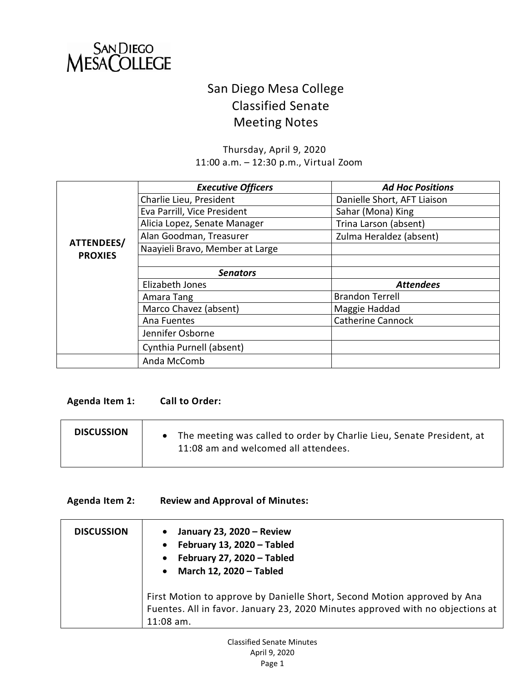

## San Diego Mesa College Classified Senate Meeting Notes

Thursday, April 9, 2020 11:00 a.m. – 12:30 p.m., Virtual Zoom

|                | <b>Executive Officers</b>       | <b>Ad Hoc Positions</b>     |
|----------------|---------------------------------|-----------------------------|
|                | Charlie Lieu, President         | Danielle Short, AFT Liaison |
|                | Eva Parrill, Vice President     | Sahar (Mona) King           |
|                | Alicia Lopez, Senate Manager    | Trina Larson (absent)       |
|                | Alan Goodman, Treasurer         | Zulma Heraldez (absent)     |
| ATTENDEES/     | Naayieli Bravo, Member at Large |                             |
| <b>PROXIES</b> |                                 |                             |
|                | <b>Senators</b>                 |                             |
|                | Elizabeth Jones                 | <b>Attendees</b>            |
|                | Amara Tang                      | <b>Brandon Terrell</b>      |
|                | Marco Chavez (absent)           | Maggie Haddad               |
|                | Ana Fuentes                     | <b>Catherine Cannock</b>    |
|                | Jennifer Osborne                |                             |
|                | Cynthia Purnell (absent)        |                             |
|                | Anda McComb                     |                             |

## **Agenda Item 1: Call to Order:**

| <b>DISCUSSION</b> | • The meeting was called to order by Charlie Lieu, Senate President, at<br>11:08 am and welcomed all attendees. |
|-------------------|-----------------------------------------------------------------------------------------------------------------|
|-------------------|-----------------------------------------------------------------------------------------------------------------|

## **Agenda Item 2: Review and Approval of Minutes:**

| <b>DISCUSSION</b> | January 23, 2020 - Review<br>February 13, 2020 - Tabled<br>$\bullet$<br>February 27, 2020 - Tabled<br>$\bullet$<br>March 12, 2020 - Tabled<br>$\bullet$                   |
|-------------------|---------------------------------------------------------------------------------------------------------------------------------------------------------------------------|
|                   | First Motion to approve by Danielle Short, Second Motion approved by Ana<br>Fuentes. All in favor. January 23, 2020 Minutes approved with no objections at<br>$11:08$ am. |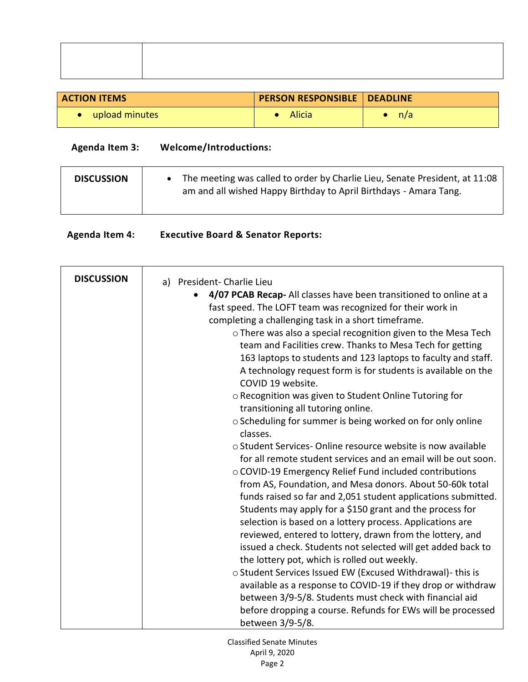| <b>ACTION ITEMS</b> | PERSON RESPONSIBLE   DEADLINE |     |
|---------------------|-------------------------------|-----|
| upload minutes      | Alicia                        | n/a |

## **Agenda Item 3: Welcome/Introductions:**

**Agenda Item 4: Executive Board & Senator Reports:** 

| <b>DISCUSSION</b> | The meeting was called to order by Charlie Lieu, Senate President, at 11:08<br>am and all wished Happy Birthday to April Birthdays - Amara Tang. |
|-------------------|--------------------------------------------------------------------------------------------------------------------------------------------------|
|                   |                                                                                                                                                  |

| <b>DISCUSSION</b> | a) President-Charlie Lieu                                                                                                                                                                                                                                                                                                                                                                                                                                                                                                                                                                                                                                                                                                                                                                                                                                                                                           |
|-------------------|---------------------------------------------------------------------------------------------------------------------------------------------------------------------------------------------------------------------------------------------------------------------------------------------------------------------------------------------------------------------------------------------------------------------------------------------------------------------------------------------------------------------------------------------------------------------------------------------------------------------------------------------------------------------------------------------------------------------------------------------------------------------------------------------------------------------------------------------------------------------------------------------------------------------|
|                   | 4/07 PCAB Recap- All classes have been transitioned to online at a<br>fast speed. The LOFT team was recognized for their work in<br>completing a challenging task in a short timeframe.<br>o There was also a special recognition given to the Mesa Tech<br>team and Facilities crew. Thanks to Mesa Tech for getting<br>163 laptops to students and 123 laptops to faculty and staff.<br>A technology request form is for students is available on the<br>COVID 19 website.<br>o Recognition was given to Student Online Tutoring for<br>transitioning all tutoring online.<br>○ Scheduling for summer is being worked on for only online                                                                                                                                                                                                                                                                          |
|                   | classes.<br>o Student Services-Online resource website is now available<br>for all remote student services and an email will be out soon.<br>o COVID-19 Emergency Relief Fund included contributions<br>from AS, Foundation, and Mesa donors. About 50-60k total<br>funds raised so far and 2,051 student applications submitted.<br>Students may apply for a \$150 grant and the process for<br>selection is based on a lottery process. Applications are<br>reviewed, entered to lottery, drawn from the lottery, and<br>issued a check. Students not selected will get added back to<br>the lottery pot, which is rolled out weekly.<br>o Student Services Issued EW (Excused Withdrawal)- this is<br>available as a response to COVID-19 if they drop or withdraw<br>between 3/9-5/8. Students must check with financial aid<br>before dropping a course. Refunds for EWs will be processed<br>between 3/9-5/8. |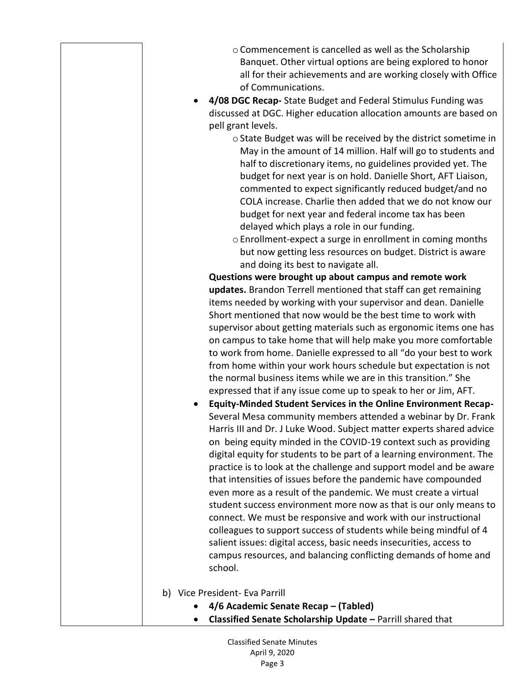| o Commencement is cancelled as well as the Scholarship         |
|----------------------------------------------------------------|
| Banquet. Other virtual options are being explored to honor     |
| all for their achievements and are working closely with Office |
| of Communications.                                             |

- **4/08 DGC Recap-** State Budget and Federal Stimulus Funding was discussed at DGC. Higher education allocation amounts are based on pell grant levels.
	- o State Budget was will be received by the district sometime in May in the amount of 14 million. Half will go to students and half to discretionary items, no guidelines provided yet. The budget for next year is on hold. Danielle Short, AFT Liaison, commented to expect significantly reduced budget/and no COLA increase. Charlie then added that we do not know our budget for next year and federal income tax has been delayed which plays a role in our funding.
	- o Enrollment-expect a surge in enrollment in coming months but now getting less resources on budget. District is aware and doing its best to navigate all.

**Questions were brought up about campus and remote work updates.** Brandon Terrell mentioned that staff can get remaining items needed by working with your supervisor and dean. Danielle Short mentioned that now would be the best time to work with supervisor about getting materials such as ergonomic items one has on campus to take home that will help make you more comfortable to work from home. Danielle expressed to all "do your best to work from home within your work hours schedule but expectation is not the normal business items while we are in this transition." She expressed that if any issue come up to speak to her or Jim, AFT.

- **Equity-Minded Student Services in the Online Environment Recap-**Several Mesa community members attended a webinar by Dr. Frank Harris III and Dr. J Luke Wood. Subject matter experts shared advice on being equity minded in the COVID-19 context such as providing digital equity for students to be part of a learning environment. The practice is to look at the challenge and support model and be aware that intensities of issues before the pandemic have compounded even more as a result of the pandemic. We must create a virtual student success environment more now as that is our only means to connect. We must be responsive and work with our instructional colleagues to support success of students while being mindful of 4 salient issues: digital access, basic needs insecurities, access to campus resources, and balancing conflicting demands of home and school.
- b) Vice President- Eva Parrill
	- **4/6 Academic Senate Recap – (Tabled)**
	- **Classified Senate Scholarship Update –** Parrill shared that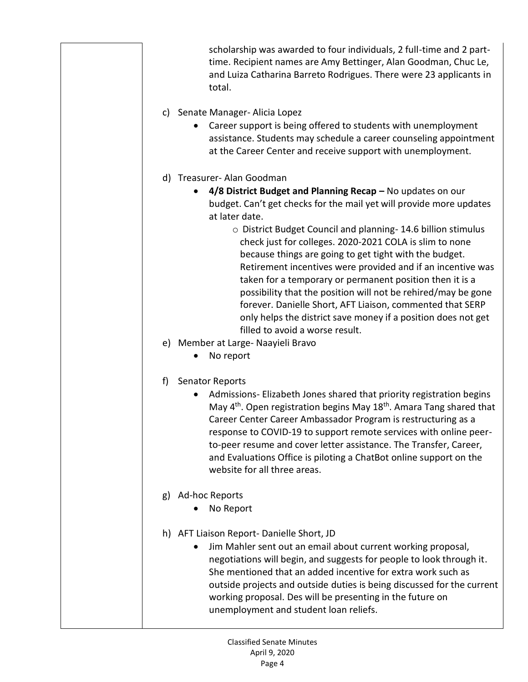scholarship was awarded to four individuals, 2 full-time and 2 parttime. Recipient names are Amy Bettinger, Alan Goodman, Chuc Le, and Luiza Catharina Barreto Rodrigues. There were 23 applicants in total.

- c) Senate Manager- Alicia Lopez
	- Career support is being offered to students with unemployment assistance. Students may schedule a career counseling appointment at the Career Center and receive support with unemployment.
- d) Treasurer- Alan Goodman
	- **4/8 District Budget and Planning Recap –** No updates on our budget. Can't get checks for the mail yet will provide more updates at later date.
		- o District Budget Council and planning- 14.6 billion stimulus check just for colleges. 2020-2021 COLA is slim to none because things are going to get tight with the budget. Retirement incentives were provided and if an incentive was taken for a temporary or permanent position then it is a possibility that the position will not be rehired/may be gone forever. Danielle Short, AFT Liaison, commented that SERP only helps the district save money if a position does not get filled to avoid a worse result.
- e) Member at Large- Naayieli Bravo
	- No report
- f) Senator Reports
	- Admissions- Elizabeth Jones shared that priority registration begins May 4<sup>th</sup>. Open registration begins May 18<sup>th</sup>. Amara Tang shared that Career Center Career Ambassador Program is restructuring as a response to COVID-19 to support remote services with online peerto-peer resume and cover letter assistance. The Transfer, Career, and Evaluations Office is piloting a ChatBot online support on the website for all three areas.
- g) Ad-hoc Reports
	- No Report
- h) AFT Liaison Report- Danielle Short, JD
	- Jim Mahler sent out an email about current working proposal, negotiations will begin, and suggests for people to look through it. She mentioned that an added incentive for extra work such as outside projects and outside duties is being discussed for the current working proposal. Des will be presenting in the future on unemployment and student loan reliefs.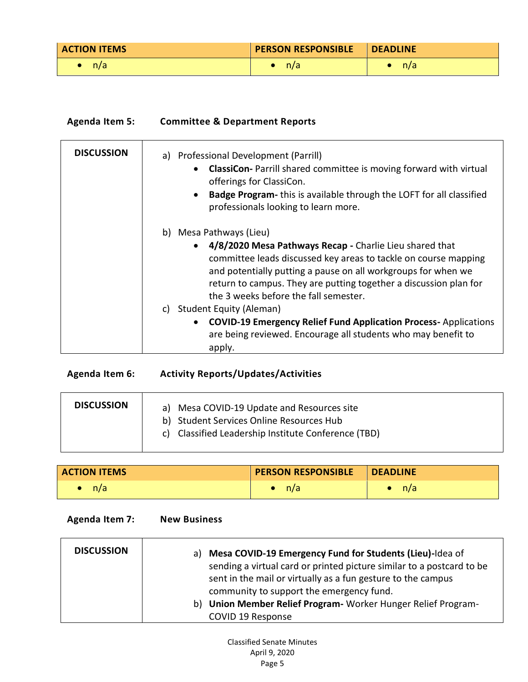| <b>ACTION ITEMS</b> | <b>PERSON RESPONSIBLE</b> | <b>I</b> DEADLINE |
|---------------------|---------------------------|-------------------|
| n/a                 | n/a                       | n/a               |

| <b>Agenda Item 5:</b> | <b>Committee &amp; Department Reports</b>                                                                                                                                                                                                                                                                                                                                                                                                                                                                                                                   |  |
|-----------------------|-------------------------------------------------------------------------------------------------------------------------------------------------------------------------------------------------------------------------------------------------------------------------------------------------------------------------------------------------------------------------------------------------------------------------------------------------------------------------------------------------------------------------------------------------------------|--|
| <b>DISCUSSION</b>     | a) Professional Development (Parrill)<br><b>ClassiCon-</b> Parrill shared committee is moving forward with virtual<br>offerings for ClassiCon.<br>Badge Program- this is available through the LOFT for all classified<br>$\bullet$<br>professionals looking to learn more.                                                                                                                                                                                                                                                                                 |  |
|                       | b) Mesa Pathways (Lieu)<br>4/8/2020 Mesa Pathways Recap - Charlie Lieu shared that<br>$\bullet$<br>committee leads discussed key areas to tackle on course mapping<br>and potentially putting a pause on all workgroups for when we<br>return to campus. They are putting together a discussion plan for<br>the 3 weeks before the fall semester.<br><b>Student Equity (Aleman)</b><br>C)<br><b>COVID-19 Emergency Relief Fund Application Process-Applications</b><br>$\bullet$<br>are being reviewed. Encourage all students who may benefit to<br>apply. |  |

| Agenda Item 6:    | <b>Activity Reports/Updates/Activities</b>                                                                                                       |
|-------------------|--------------------------------------------------------------------------------------------------------------------------------------------------|
| <b>DISCUSSION</b> | Mesa COVID-19 Update and Resources site<br>a)<br>b) Student Services Online Resources Hub<br>c) Classified Leadership Institute Conference (TBD) |

| <b>ACTION ITEMS</b> | <b>PERSON RESPONSIBLE</b> | <b>DEADLINE</b> |
|---------------------|---------------------------|-----------------|
| n/a                 | n/a                       | n/a             |

**Agenda Item 7: New Business**

| <b>DISCUSSION</b> | a) Mesa COVID-19 Emergency Fund for Students (Lieu)-Idea of           |
|-------------------|-----------------------------------------------------------------------|
|                   | sending a virtual card or printed picture similar to a postcard to be |
|                   | sent in the mail or virtually as a fun gesture to the campus          |
|                   | community to support the emergency fund.                              |
|                   | b) Union Member Relief Program - Worker Hunger Relief Program-        |
|                   | COVID 19 Response                                                     |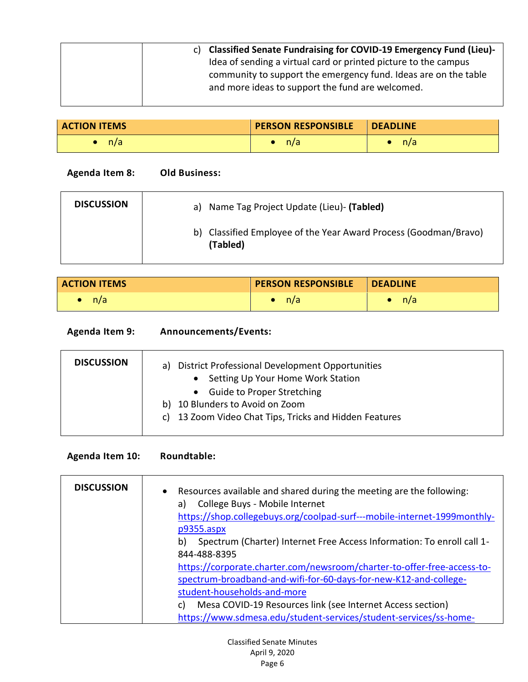| c) Classified Senate Fundraising for COVID-19 Emergency Fund (Lieu)- |
|----------------------------------------------------------------------|
| Idea of sending a virtual card or printed picture to the campus      |
| community to support the emergency fund. Ideas are on the table      |
| and more ideas to support the fund are welcomed.                     |
|                                                                      |

| <b>ACTION ITEMS</b> | <b>PERSON RESPONSIBLE</b> | <b>DEADLINE</b> |
|---------------------|---------------------------|-----------------|
| n/a                 | n/a                       | n/a             |

| Agenda Item 8:    | <b>Old Business:</b>                                                         |
|-------------------|------------------------------------------------------------------------------|
| <b>DISCUSSION</b> | a) Name Tag Project Update (Lieu)- (Tabled)                                  |
|                   | b) Classified Employee of the Year Award Process (Goodman/Bravo)<br>(Tabled) |

| <b>ACTION ITEMS</b> | <b>PERSON RESPONSIBLE</b> | <b>DEADLINE</b> |
|---------------------|---------------------------|-----------------|
| n/a                 | n/a                       | n/a             |

| <b>Agenda Item 9:</b> | Announcements/Events: |
|-----------------------|-----------------------|
|-----------------------|-----------------------|

| <b>DISCUSSION</b> | District Professional Development Opportunities<br>a)  |
|-------------------|--------------------------------------------------------|
|                   | Setting Up Your Home Work Station<br>$\bullet$         |
|                   | • Guide to Proper Stretching                           |
|                   | b) 10 Blunders to Avoid on Zoom                        |
|                   | c) 13 Zoom Video Chat Tips, Tricks and Hidden Features |
|                   |                                                        |

| <b>Agenda Item 10:</b> |  |  | Roundtable: |
|------------------------|--|--|-------------|
|------------------------|--|--|-------------|

| <b>DISCUSSION</b> | • Resources available and shared during the meeting are the following:<br>College Buys - Mobile Internet<br>a) |
|-------------------|----------------------------------------------------------------------------------------------------------------|
|                   | https://shop.collegebuys.org/coolpad-surf---mobile-internet-1999monthly-                                       |
|                   | $p9355 \n  aspx$                                                                                               |
|                   | Spectrum (Charter) Internet Free Access Information: To enroll call 1-<br>b)                                   |
|                   | 844-488-8395                                                                                                   |
|                   | https://corporate.charter.com/newsroom/charter-to-offer-free-access-to-                                        |
|                   | spectrum-broadband-and-wifi-for-60-days-for-new-K12-and-college-                                               |
|                   | student-households-and-more                                                                                    |
|                   | Mesa COVID-19 Resources link (see Internet Access section)<br>C)                                               |
|                   | https://www.sdmesa.edu/student-services/student-services/ss-home-                                              |